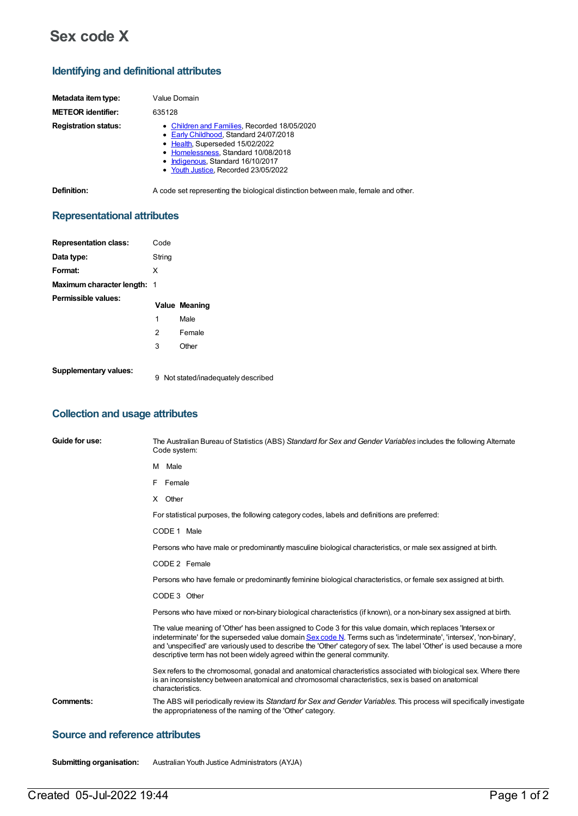# **Sex code X**

## **Identifying and definitional attributes**

| Metadata item type:         | Value Domain                                                                                                                                                                                                                                  |
|-----------------------------|-----------------------------------------------------------------------------------------------------------------------------------------------------------------------------------------------------------------------------------------------|
| <b>METEOR identifier:</b>   | 635128                                                                                                                                                                                                                                        |
| <b>Registration status:</b> | • Children and Families, Recorded 18/05/2020<br>• Early Childhood, Standard 24/07/2018<br>• Health, Superseded 15/02/2022<br>• Homelessness, Standard 10/08/2018<br>• Indigenous, Standard 16/10/2017<br>• Youth Justice, Recorded 23/05/2022 |

**Definition:** A code set representing the biological distinction between male, female and other.

# **Representational attributes**

| <b>Representation class:</b>       | Code   |               |
|------------------------------------|--------|---------------|
| Data type:                         | String |               |
| Format:                            | X      |               |
| <b>Maximum character length: 1</b> |        |               |
| Permissible values:                |        |               |
|                                    |        |               |
|                                    |        | Value Meaning |
|                                    | 1      | Male          |
|                                    | 2      | Female        |
|                                    | 3      | Other         |

**Supplementary values:**

9 Not stated/inadequately described

### **Collection and usage attributes**

| Guide for use:   | The Australian Bureau of Statistics (ABS) Standard for Sex and Gender Variables includes the following Alternate<br>Code system:                                                                                                                                                                                                                                                                                                          |
|------------------|-------------------------------------------------------------------------------------------------------------------------------------------------------------------------------------------------------------------------------------------------------------------------------------------------------------------------------------------------------------------------------------------------------------------------------------------|
|                  | M Male                                                                                                                                                                                                                                                                                                                                                                                                                                    |
|                  | F.<br>Female                                                                                                                                                                                                                                                                                                                                                                                                                              |
|                  | X Other                                                                                                                                                                                                                                                                                                                                                                                                                                   |
|                  | For statistical purposes, the following category codes, labels and definitions are preferred:                                                                                                                                                                                                                                                                                                                                             |
|                  | CODE 1 Male                                                                                                                                                                                                                                                                                                                                                                                                                               |
|                  | Persons who have male or predominantly masculine biological characteristics, or male sex assigned at birth.                                                                                                                                                                                                                                                                                                                               |
|                  | CODE 2 Female                                                                                                                                                                                                                                                                                                                                                                                                                             |
|                  | Persons who have female or predominantly feminine biological characteristics, or female sex assigned at birth.                                                                                                                                                                                                                                                                                                                            |
|                  | CODE 3 Other                                                                                                                                                                                                                                                                                                                                                                                                                              |
|                  | Persons who have mixed or non-binary biological characteristics (if known), or a non-binary sex assigned at birth.                                                                                                                                                                                                                                                                                                                        |
|                  | The value meaning of 'Other' has been assigned to Code 3 for this value domain, which replaces 'Intersex or<br>indeterminate' for the superseded value domain Sex code N. Terms such as 'indeterminate', 'intersex', 'non-binary',<br>and 'unspecified' are variously used to describe the 'Other' category of sex. The label 'Other' is used because a more<br>descriptive term has not been widely agreed within the general community. |
|                  | Sex refers to the chromosomal, gonadal and anatomical characteristics associated with biological sex. Where there<br>is an inconsistency between anatomical and chromosomal characteristics, sex is based on anatomical<br>characteristics.                                                                                                                                                                                               |
| <b>Comments:</b> | The ABS will periodically review its Standard for Sex and Gender Variables. This process will specifically investigate<br>the appropriateness of the naming of the 'Other' category.                                                                                                                                                                                                                                                      |

# **Source and reference attributes**

**Submitting organisation:** Australian Youth Justice Administrators (AYJA)